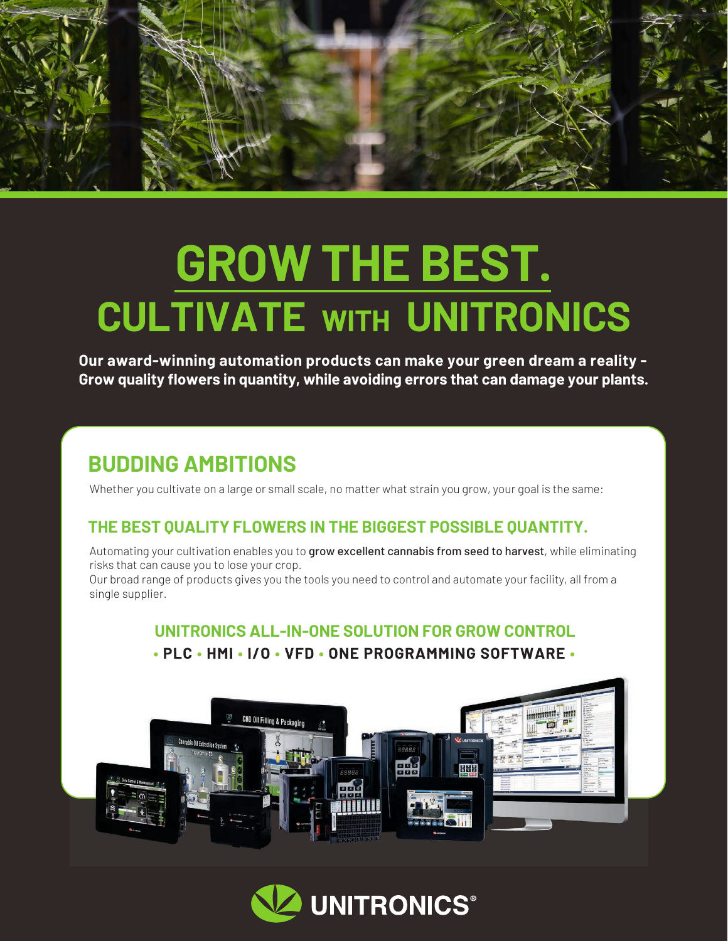

# **GROW THE BEST. CULTIVATE WITH UNITRONICS**

**Our award-winning automation products can make your green dream a reality - Grow quality flowers in quantity, while avoiding errors that can damage your plants.**

## **BUDDING AMBITIONS**

Whether you cultivate on a large or small scale, no matter what strain you grow, your goal is the same:

## **THE BEST QUALITY FLOWERS IN THE BIGGEST POSSIBLE QUANTITY.**

Automating your cultivation enables you to grow excellent cannabis from seed to harvest, while eliminating risks that can cause you to lose your crop.

Our broad range of products gives you the tools you need to control and automate your facility, all from a single supplier.

## **UNITRONICS ALL-IN-ONE SOLUTION FOR GROW CONTROL • PLC • HMI • I/O • VFD • ONE PROGRAMMING SOFTWARE •**